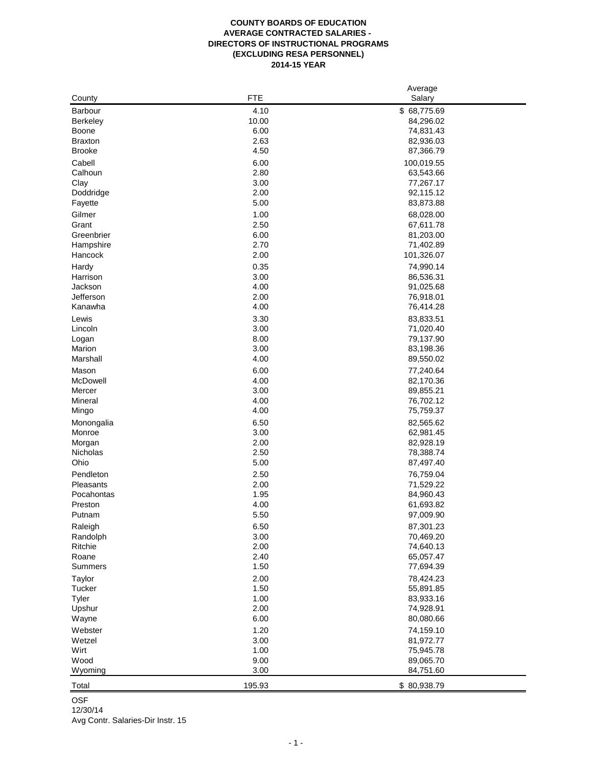## **COUNTY BOARDS OF EDUCATION AVERAGE CONTRACTED SALARIES - DIRECTORS OF INSTRUCTIONAL PROGRAMS (EXCLUDING RESA PERSONNEL) 2014-15 YEAR**

|                |            | Average     |
|----------------|------------|-------------|
| County         | <b>FTE</b> | Salary      |
| <b>Barbour</b> | 4.10       | \$68,775.69 |
| Berkeley       | 10.00      | 84,296.02   |
| Boone          | 6.00       | 74,831.43   |
| <b>Braxton</b> | 2.63       | 82,936.03   |
| <b>Brooke</b>  | 4.50       |             |
|                |            | 87,366.79   |
| Cabell         | 6.00       | 100,019.55  |
| Calhoun        | 2.80       | 63,543.66   |
| Clay           | 3.00       | 77,267.17   |
| Doddridge      | 2.00       | 92,115.12   |
| Fayette        | 5.00       | 83,873.88   |
| Gilmer         | 1.00       | 68,028.00   |
| Grant          | 2.50       | 67,611.78   |
| Greenbrier     | 6.00       | 81,203.00   |
| Hampshire      | 2.70       | 71,402.89   |
| Hancock        | 2.00       | 101,326.07  |
|                |            |             |
| Hardy          | 0.35       | 74,990.14   |
| Harrison       | 3.00       | 86,536.31   |
| Jackson        | 4.00       | 91,025.68   |
| Jefferson      | 2.00       | 76,918.01   |
| Kanawha        | 4.00       | 76,414.28   |
| Lewis          | 3.30       | 83,833.51   |
| Lincoln        | 3.00       | 71,020.40   |
| Logan          | 8.00       | 79,137.90   |
| Marion         | 3.00       | 83,198.36   |
| Marshall       | 4.00       | 89,550.02   |
| Mason          | 6.00       | 77,240.64   |
| McDowell       | 4.00       | 82,170.36   |
| Mercer         | 3.00       | 89,855.21   |
| Mineral        | 4.00       |             |
|                |            | 76,702.12   |
| Mingo          | 4.00       | 75,759.37   |
| Monongalia     | 6.50       | 82,565.62   |
| Monroe         | 3.00       | 62,981.45   |
| Morgan         | 2.00       | 82,928.19   |
| Nicholas       | 2.50       | 78,388.74   |
| Ohio           | 5.00       | 87,497.40   |
| Pendleton      | 2.50       | 76,759.04   |
| Pleasants      | 2.00       | 71,529.22   |
| Pocahontas     | 1.95       | 84,960.43   |
| Preston        | 4.00       | 61,693.82   |
| Putnam         | 5.50       | 97,009.90   |
|                | 6.50       |             |
| Raleigh        |            | 87,301.23   |
| Randolph       | 3.00       | 70,469.20   |
| Ritchie        | 2.00       | 74,640.13   |
| Roane          | 2.40       | 65,057.47   |
| Summers        | 1.50       | 77,694.39   |
| Taylor         | 2.00       | 78,424.23   |
| Tucker         | 1.50       | 55,891.85   |
| Tyler          | 1.00       | 83,933.16   |
| Upshur         | 2.00       | 74,928.91   |
| Wayne          | 6.00       | 80,080.66   |
| Webster        | 1.20       | 74,159.10   |
| Wetzel         | 3.00       | 81,972.77   |
| Wirt           | 1.00       | 75,945.78   |
| Wood           | 9.00       | 89,065.70   |
| <b>Wyoming</b> | 3.00       | 84,751.60   |
|                |            |             |
| Total          | 195.93     | \$80,938.79 |

OSF

12/30/14

Avg Contr. Salaries-Dir Instr. 15